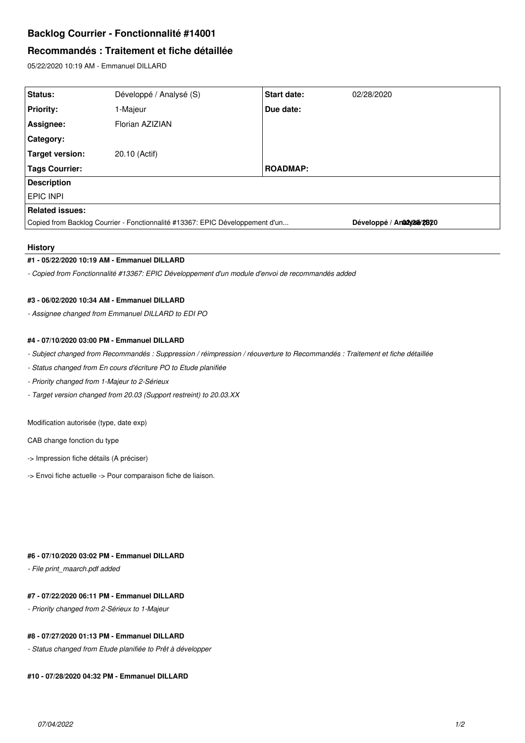# **Backlog Courrier - Fonctionnalité #14001**

# **Recommandés : Traitement et fiche détaillée**

05/22/2020 10:19 AM - Emmanuel DILLARD

| Status:                                                                       | Développé / Analysé (S) | Start date:     | 02/28/2020                 |
|-------------------------------------------------------------------------------|-------------------------|-----------------|----------------------------|
| <b>Priority:</b>                                                              | 1-Majeur                | Due date:       |                            |
| Assignee:                                                                     | Florian AZIZIAN         |                 |                            |
| <b>Category:</b>                                                              |                         |                 |                            |
| Target version:                                                               | 20.10 (Actif)           |                 |                            |
| Tags Courrier:                                                                |                         | <b>ROADMAP:</b> |                            |
| <b>Description</b>                                                            |                         |                 |                            |
| <b>EPIC INPI</b>                                                              |                         |                 |                            |
| <b>Related issues:</b>                                                        |                         |                 |                            |
| Copied from Backlog Courrier - Fonctionnalité #13367: EPIC Développement d'un |                         |                 | Développé / Ana2y2se/2,820 |

## **History**

## **#1 - 05/22/2020 10:19 AM - Emmanuel DILLARD**

*- Copied from Fonctionnalité #13367: EPIC Développement d'un module d'envoi de recommandés added*

#### **#3 - 06/02/2020 10:34 AM - Emmanuel DILLARD**

*- Assignee changed from Emmanuel DILLARD to EDI PO*

## **#4 - 07/10/2020 03:00 PM - Emmanuel DILLARD**

*- Subject changed from Recommandés : Suppression / réimpression / réouverture to Recommandés : Traitement et fiche détaillée*

- *Status changed from En cours d'écriture PO to Etude planifiée*
- *Priority changed from 1-Majeur to 2-Sérieux*
- *Target version changed from 20.03 (Support restreint) to 20.03.XX*

Modification autorisée (type, date exp)

CAB change fonction du type

- -> Impression fiche détails (A préciser)
- -> Envoi fiche actuelle -> Pour comparaison fiche de liaison.

## **#6 - 07/10/2020 03:02 PM - Emmanuel DILLARD**

*- File print\_maarch.pdf added*

## **#7 - 07/22/2020 06:11 PM - Emmanuel DILLARD**

*- Priority changed from 2-Sérieux to 1-Majeur*

## **#8 - 07/27/2020 01:13 PM - Emmanuel DILLARD**

*- Status changed from Etude planifiée to Prêt à développer*

## **#10 - 07/28/2020 04:32 PM - Emmanuel DILLARD**